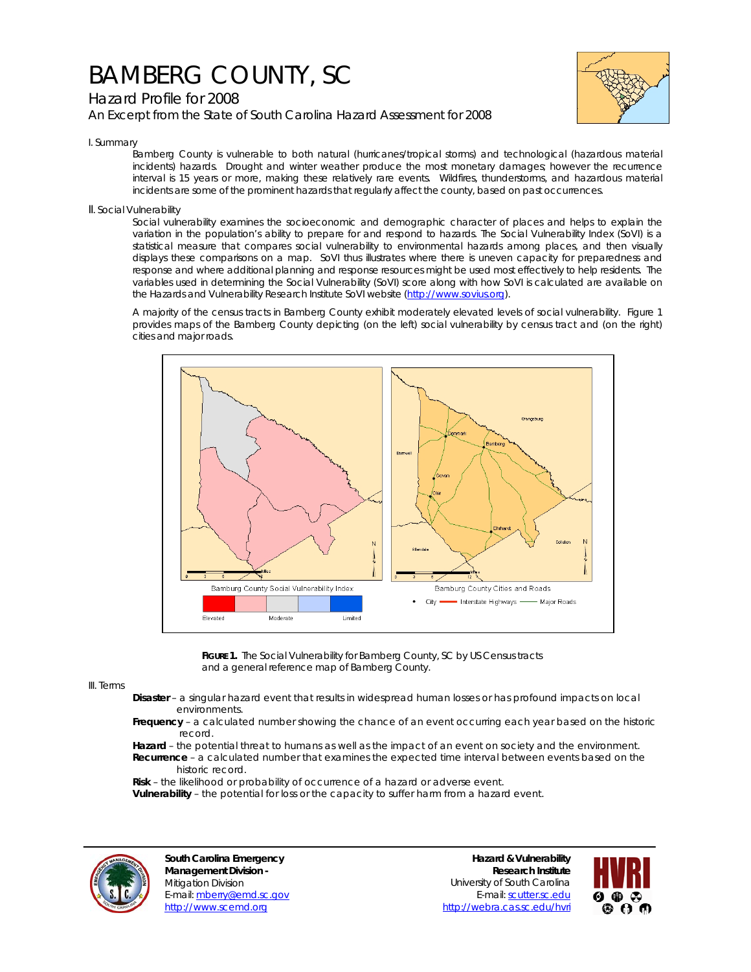## BAMBERG COUNTY, SC

Hazard Profile for 2008

*An Excerpt from the State of South Carolina Hazard Assessment for 2008*



I. Summary

Bamberg County is vulnerable to both natural (hurricanes/tropical storms) and technological (hazardous material incidents) hazards. Drought and winter weather produce the most monetary damages; however the recurrence interval is 15 years or more, making these relatively rare events. Wildfires, thunderstorms, and hazardous material incidents are some of the prominent hazards that regularly affect the county, based on past occurrences.

II. Social Vulnerability

Social vulnerability examines the socioeconomic and demographic character of places and helps to explain the variation in the population's ability to prepare for and respond to hazards. The Social Vulnerability Index (SoVI) is a statistical measure that compares social vulnerability to environmental hazards among places, and then visually displays these comparisons on a map. SoVI thus illustrates where there is uneven capacity for preparedness and response and where additional planning and response resources might be used most effectively to help residents. The variables used in determining the Social Vulnerability (SoVI) score along with how SoVI is calculated are available on the Hazards and Vulnerability Research Institute SoVI website (http://www.sovius.org).

A majority of the census tracts in Bamberg County exhibit moderately elevated levels of social vulnerability. Figure 1 provides maps of the Bamberg County depicting (on the left) social vulnerability by census tract and (on the right) cities and major roads.



FIGURE 1. The Social Vulnerability for Bamberg County, SC by US Census tracts and a general reference map of Bamberg County.

III. Terms

- **Disaster** a singular hazard event that results in widespread human losses or has profound impacts on local environments.
- **Frequency** a calculated number showing the chance of an event occurring each year based on the historic record.
- **Hazard** the potential threat to humans as well as the impact of an event on society and the environment.  **Recurrence** – a calculated number that examines the expected time interval between events based on the historic record.

 **Risk** – the likelihood or probability of occurrence of a hazard or adverse event.

 **Vulnerability** – the potential for loss or the capacity to suffer harm from a hazard event.



**South Carolina Emergency Management Division -**  Mitigation Division E-mail: mberry@emd.sc.gov http://www.scemd.org

**Hazard & Vulnerability Research Institute**  University of South Carolina E-mail: scutter.sc.edu http://webra.cas.sc.edu/hvri

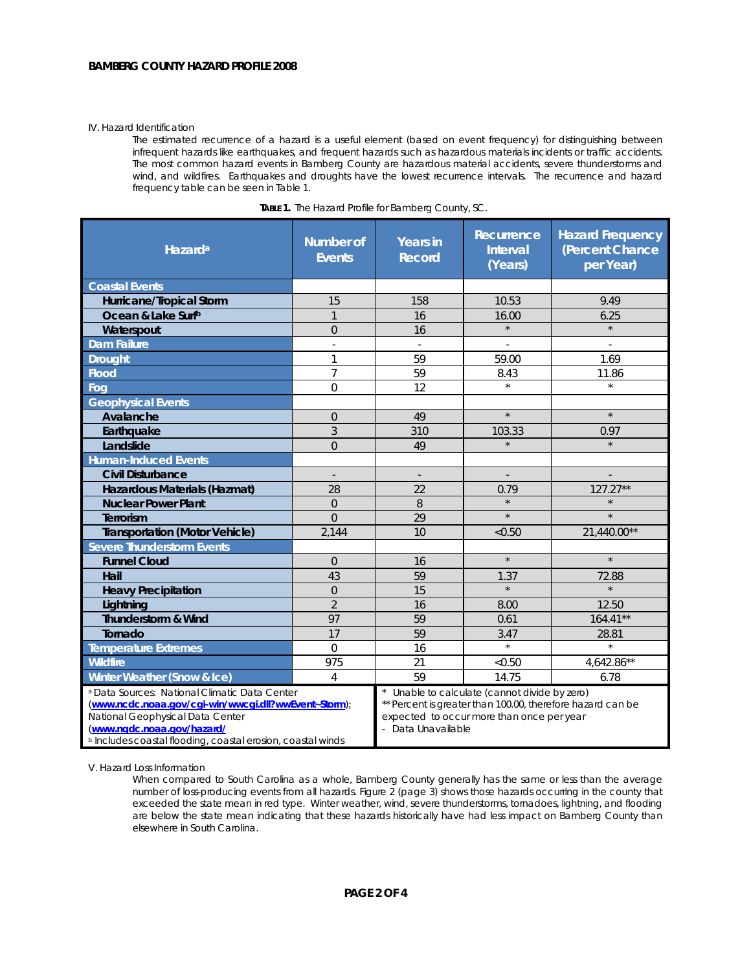## IV. Hazard Identification

The estimated recurrence of a hazard is a useful element (based on event frequency) for distinguishing between infrequent hazards like earthquakes, and frequent hazards such as hazardous materials incidents or traffic accidents. The most common hazard events in Bamberg County are hazardous material accidents, severe thunderstorms and wind, and wildfires. Earthquakes and droughts have the lowest recurrence intervals. The recurrence and hazard frequency table can be seen in Table 1.

| Hazard <sup>a</sup>                                                                                                                                                                                                                               | <b>Number of</b><br><b>Events</b> | <b>Years in</b><br><b>Record</b>                                                                                                                                             | Recurrence<br><b>Interval</b><br>(Years) | <b>Hazard Frequency</b><br>(Percent Chance<br>per Year) |  |
|---------------------------------------------------------------------------------------------------------------------------------------------------------------------------------------------------------------------------------------------------|-----------------------------------|------------------------------------------------------------------------------------------------------------------------------------------------------------------------------|------------------------------------------|---------------------------------------------------------|--|
| <b>Coastal Events</b>                                                                                                                                                                                                                             |                                   |                                                                                                                                                                              |                                          |                                                         |  |
| Hurricane/Tropical Storm                                                                                                                                                                                                                          | 15                                | 158                                                                                                                                                                          | 10.53                                    | 9.49                                                    |  |
| Ocean & Lake Surfb                                                                                                                                                                                                                                | $\mathbf{1}$                      | 16                                                                                                                                                                           | 16.00                                    | 6.25                                                    |  |
| Waterspout                                                                                                                                                                                                                                        | $\overline{0}$                    | 16                                                                                                                                                                           | $\star$                                  | $\star$                                                 |  |
| <b>Dam Failure</b>                                                                                                                                                                                                                                | ÷,                                | ÷.                                                                                                                                                                           |                                          | $\overline{\phantom{a}}$                                |  |
| <b>Drought</b>                                                                                                                                                                                                                                    | 1                                 | 59                                                                                                                                                                           | 59.00                                    | 1.69                                                    |  |
| <b>Flood</b>                                                                                                                                                                                                                                      | $\overline{7}$                    | 59                                                                                                                                                                           | 8.43                                     | 11.86                                                   |  |
| Fog                                                                                                                                                                                                                                               | $\mathbf 0$                       | 12                                                                                                                                                                           | $\star$                                  | $\star$                                                 |  |
| <b>Geophysical Events</b>                                                                                                                                                                                                                         |                                   |                                                                                                                                                                              |                                          |                                                         |  |
| Avalanche                                                                                                                                                                                                                                         | $\overline{0}$                    | 49                                                                                                                                                                           | $\star$                                  | $\star$                                                 |  |
| Earthquake                                                                                                                                                                                                                                        | 3                                 | 310                                                                                                                                                                          | 103.33                                   | 0.97                                                    |  |
| Landslide                                                                                                                                                                                                                                         | $\overline{O}$                    | 49                                                                                                                                                                           | $\star$                                  | $\star$                                                 |  |
| <b>Human-Induced Events</b>                                                                                                                                                                                                                       |                                   |                                                                                                                                                                              |                                          |                                                         |  |
| <b>Civil Disturbance</b>                                                                                                                                                                                                                          | $\overline{\phantom{a}}$          | $\overline{\phantom{a}}$                                                                                                                                                     | $\overline{\phantom{a}}$                 |                                                         |  |
| Hazardous Materials (Hazmat)                                                                                                                                                                                                                      | 28                                | 22                                                                                                                                                                           | 0.79                                     | $127.27**$                                              |  |
| <b>Nuclear Power Plant</b>                                                                                                                                                                                                                        | $\overline{0}$                    | 8                                                                                                                                                                            | $\star$                                  |                                                         |  |
| <b>Terrorism</b>                                                                                                                                                                                                                                  | $\Omega$                          | 29                                                                                                                                                                           | $\star$                                  | $\star$                                                 |  |
| <b>Transportation (Motor Vehicle)</b>                                                                                                                                                                                                             | 2,144                             | 10                                                                                                                                                                           | < 0.50                                   | 21,440.00**                                             |  |
| <b>Severe Thunderstorm Events</b>                                                                                                                                                                                                                 |                                   |                                                                                                                                                                              |                                          |                                                         |  |
| <b>Funnel Cloud</b>                                                                                                                                                                                                                               | $\Omega$                          | 16                                                                                                                                                                           | $\star$                                  | $\star$                                                 |  |
| Hail                                                                                                                                                                                                                                              | 43                                | 59                                                                                                                                                                           | 1.37                                     | 72.88                                                   |  |
| <b>Heavy Precipitation</b>                                                                                                                                                                                                                        | $\overline{0}$                    | 15                                                                                                                                                                           | $\star$                                  | $\star$                                                 |  |
| Lightning                                                                                                                                                                                                                                         | $\overline{2}$                    | 16                                                                                                                                                                           | 8.00                                     | 12.50                                                   |  |
| Thunderstorm & Wind                                                                                                                                                                                                                               | 97                                | 59                                                                                                                                                                           | 0.61                                     | $164.41**$                                              |  |
| Tornado                                                                                                                                                                                                                                           | 17                                | 59                                                                                                                                                                           | 3.47                                     | 28.81                                                   |  |
| <b>Temperature Extremes</b>                                                                                                                                                                                                                       | $\Omega$                          | 16                                                                                                                                                                           | $\star$                                  | $\star$                                                 |  |
| <b>Wildfire</b>                                                                                                                                                                                                                                   | 975                               | 21                                                                                                                                                                           | < 0.50                                   | 4,642.86**                                              |  |
| Winter Weather (Snow & Ice)                                                                                                                                                                                                                       | 4                                 | 59                                                                                                                                                                           | 14.75                                    | 6.78                                                    |  |
| a Data Sources: National Climatic Data Center<br>(www.ncdc.noaa.gov/cgi-win/wwcgi.dll?wwEvent~Storm);<br>National Geophysical Data Center<br>(www.ngdc.noaa.gov/hazard/<br><sup>b</sup> Includes coastal flooding, coastal erosion, coastal winds |                                   | Unable to calculate (cannot divide by zero)<br>** Percent is greater than 100.00, therefore hazard can be<br>expected to occur more than once per year<br>- Data Unavailable |                                          |                                                         |  |

| <b>TABLE 1.</b> The Hazard Profile for Bamberg County, SC. |  |  |
|------------------------------------------------------------|--|--|
|                                                            |  |  |

V. Hazard Loss Information

When compared to South Carolina as a whole, Bamberg County generally has the same or less than the average number of loss-producing events from all hazards. Figure 2 (page 3) shows those hazards occurring in the county that exceeded the state mean in red type. Winter weather, wind, severe thunderstorms, tornadoes, lightning, and flooding are below the state mean indicating that these hazards historically have had less impact on Bamberg County than elsewhere in South Carolina.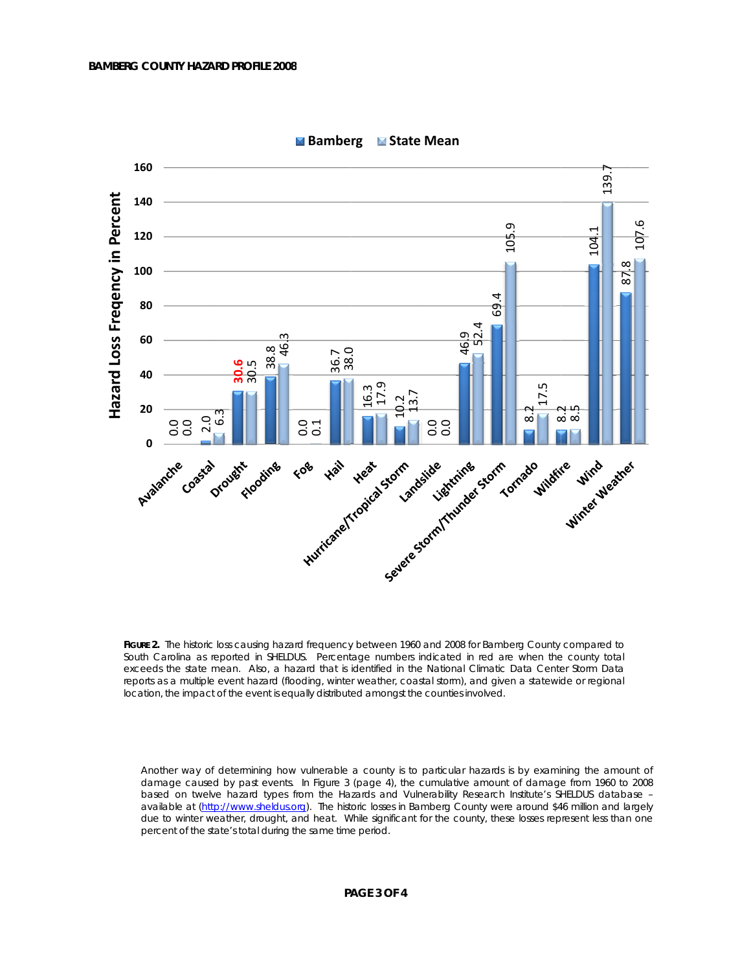

**Example Follow Bamberg Example State Mean** 

FIGURE 2. The historic loss causing hazard frequency between 1960 and 2008 for Bamberg County compared to South Carolina as reported in SHELDUS. Percentage numbers indicated in red are when the county total exceeds the state mean. Also, a hazard that is identified in the National Climatic Data Center Storm Data reports as a multiple event hazard (flooding, winter weather, coastal storm), and given a statewide or regional location, the impact of the event is equally distributed amongst the counties involved.

Another way of determining how vulnerable a county is to particular hazards is by examining the amount of damage caused by past events. In Figure 3 (page 4), the cumulative amount of damage from 1960 to 2008 based on twelve hazard types from the Hazards and Vulnerability Research Institute's SHELDUS database available at (http://www.sheldus.org). The historic losses in Bamberg County were around \$46 million and largely due to winter weather, drought, and heat. While significant for the county, these losses represent less than one percent of the state's total during the same time period.